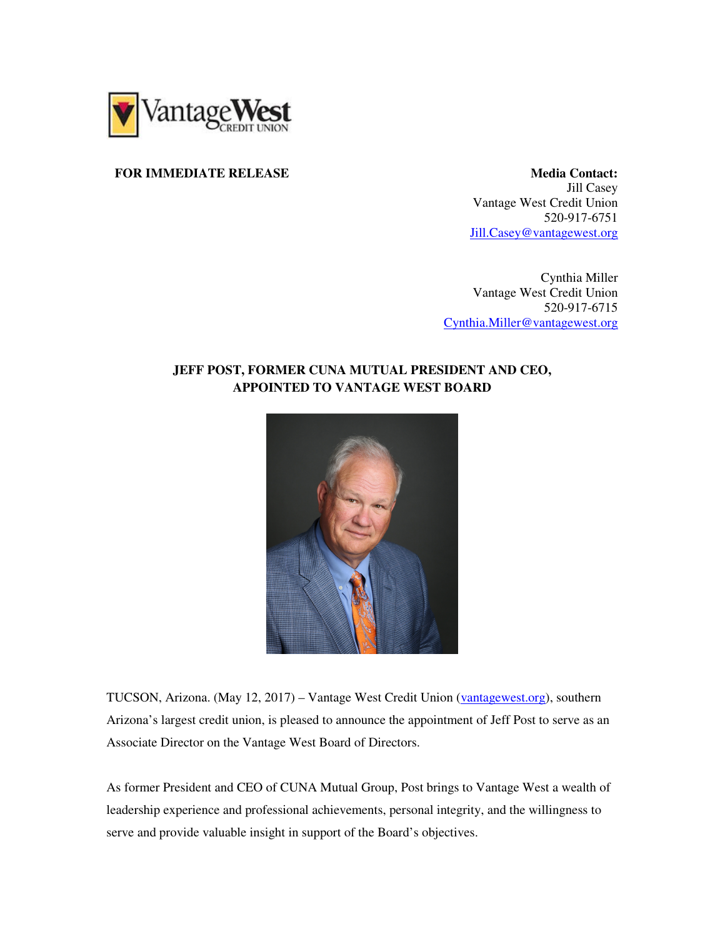

## **FOR IMMEDIATE RELEASE SECOND RESOLUTION CONTACT:** Media Contact:

Jill Casey Vantage West Credit Union 520-917-6751 Jill.Casey@vantagewest.org

Cynthia Miller Vantage West Credit Union 520-917-6715 Cynthia.Miller@vantagewest.org

## **JEFF POST, FORMER CUNA MUTUAL PRESIDENT AND CEO, APPOINTED TO VANTAGE WEST BOARD**



TUCSON, Arizona. (May 12, 2017) – Vantage West Credit Union (vantagewest.org), southern Arizona's largest credit union, is pleased to announce the appointment of Jeff Post to serve as an Associate Director on the Vantage West Board of Directors.

As former President and CEO of CUNA Mutual Group, Post brings to Vantage West a wealth of leadership experience and professional achievements, personal integrity, and the willingness to serve and provide valuable insight in support of the Board's objectives.